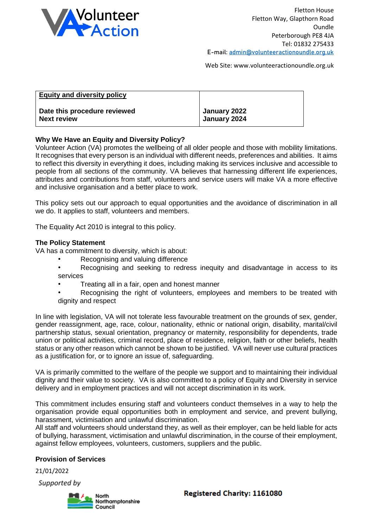

Web Site: www.volunteeractionoundle.org.uk

| <b>Equity and diversity policy</b> |              |
|------------------------------------|--------------|
| Date this procedure reviewed       | January 2022 |
| <b>Next review</b>                 | January 2024 |

### **Why We Have an Equity and Diversity Policy?**

Volunteer Action (VA) promotes the wellbeing of all older people and those with mobility limitations. It recognises that every person is an individual with different needs, preferences and abilities. It aims to reflect this diversity in everything it does, including making its services inclusive and accessible to people from all sections of the community. VA believes that harnessing different life experiences, attributes and contributions from staff, volunteers and service users will make VA a more effective and inclusive organisation and a better place to work.

This policy sets out our approach to equal opportunities and the avoidance of discrimination in all we do. It applies to staff, volunteers and members.

The Equality Act 2010 is integral to this policy.

#### **The Policy Statement**

VA has a commitment to diversity, which is about:

- Recognising and valuing difference
- Recognising and seeking to redress inequity and disadvantage in access to its services
- Treating all in a fair, open and honest manner
- Recognising the right of volunteers, employees and members to be treated with dignity and respect

In line with legislation, VA will not tolerate less favourable treatment on the grounds of sex, gender, gender reassignment, age, race, colour, nationality, ethnic or national origin, disability, marital/civil partnership status, sexual orientation, pregnancy or maternity, responsibility for dependents, trade union or political activities, criminal record, place of residence, religion, faith or other beliefs, health status or any other reason which cannot be shown to be justified. VA will never use cultural practices as a justification for, or to ignore an issue of, safeguarding.

VA is primarily committed to the welfare of the people we support and to maintaining their individual dignity and their value to society. VA is also committed to a policy of Equity and Diversity in service delivery and in employment practices and will not accept discrimination in its work.

This commitment includes ensuring staff and volunteers conduct themselves in a way to help the organisation provide equal opportunities both in employment and service, and prevent bullying, harassment, victimisation and unlawful discrimination.

All staff and volunteers should understand they, as well as their employer, can be held liable for acts of bullying, harassment, victimisation and unlawful discrimination, in the course of their employment, against fellow employees, volunteers, customers, suppliers and the public.

#### **Provision of Services**

21/01/2022

Supported by

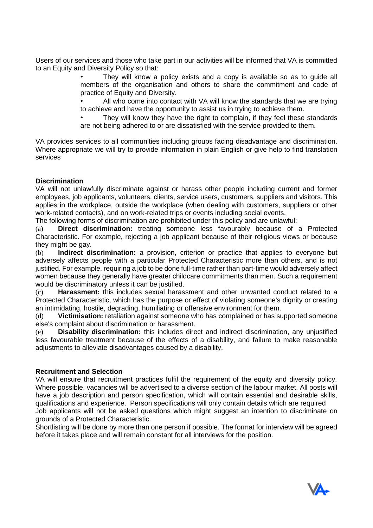Users of our services and those who take part in our activities will be informed that VA is committed to an Equity and Diversity Policy so that:

> • They will know a policy exists and a copy is available so as to guide all members of the organisation and others to share the commitment and code of practice of Equity and Diversity.

> • All who come into contact with VA will know the standards that we are trying to achieve and have the opportunity to assist us in trying to achieve them.

> They will know they have the right to complain, if they feel these standards are not being adhered to or are dissatisfied with the service provided to them.

VA provides services to all communities including groups facing disadvantage and discrimination. Where appropriate we will try to provide information in plain English or give help to find translation services

# **Discrimination**

VA will not unlawfully discriminate against or harass other people including current and former employees, job applicants, volunteers, clients, service users, customers, suppliers and visitors. This applies in the workplace, outside the workplace (when dealing with customers, suppliers or other work-related contacts), and on work-related trips or events including social events.

The following forms of discrimination are prohibited under this policy and are unlawful:

(a) **Direct discrimination:** treating someone less favourably because of a Protected Characteristic. For example, rejecting a job applicant because of their religious views or because they might be gay.

(b) **Indirect discrimination:** a provision, criterion or practice that applies to everyone but adversely affects people with a particular Protected Characteristic more than others, and is not justified. For example, requiring a job to be done full-time rather than part-time would adversely affect women because they generally have greater childcare commitments than men. Such a requirement would be discriminatory unless it can be justified.

(c) **Harassment:** this includes sexual harassment and other unwanted conduct related to a Protected Characteristic, which has the purpose or effect of violating someone's dignity or creating an intimidating, hostile, degrading, humiliating or offensive environment for them.

(d) **Victimisation:** retaliation against someone who has complained or has supported someone else's complaint about discrimination or harassment.

(e) **Disability discrimination:** this includes direct and indirect discrimination, any unjustified less favourable treatment because of the effects of a disability, and failure to make reasonable adjustments to alleviate disadvantages caused by a disability.

## **Recruitment and Selection**

VA will ensure that recruitment practices fulfil the requirement of the equity and diversity policy. Where possible, vacancies will be advertised to a diverse section of the labour market. All posts will have a job description and person specification, which will contain essential and desirable skills, qualifications and experience. Person specifications will only contain details which are required

Job applicants will not be asked questions which might suggest an intention to discriminate on grounds of a Protected Characteristic.

Shortlisting will be done by more than one person if possible. The format for interview will be agreed before it takes place and will remain constant for all interviews for the position.